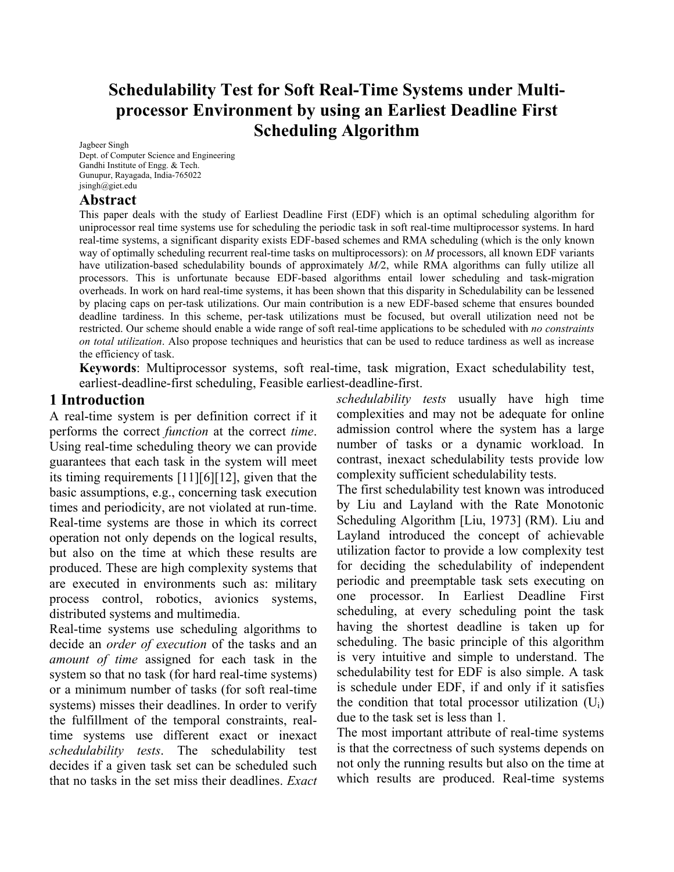# **Schedulability Test for Soft Real-Time Systems under Multiprocessor Environment by using an Earliest Deadline First Scheduling Algorithm**

Jagbeer Singh

Dept. of Computer Science and Engineering Gandhi Institute of Engg. & Tech. Gunupur, Rayagada, India-765022 jsingh@giet.edu

### **Abstract**

This paper deals with the study of Earliest Deadline First (EDF) which is an optimal scheduling algorithm for uniprocessor real time systems use for scheduling the periodic task in soft real-time multiprocessor systems. In hard real-time systems, a significant disparity exists EDF-based schemes and RMA scheduling (which is the only known way of optimally scheduling recurrent real-time tasks on multiprocessors): on *M* processors, all known EDF variants have utilization-based schedulability bounds of approximately *M/*2, while RMA algorithms can fully utilize all processors. This is unfortunate because EDF-based algorithms entail lower scheduling and task-migration overheads. In work on hard real-time systems, it has been shown that this disparity in Schedulability can be lessened by placing caps on per-task utilizations. Our main contribution is a new EDF-based scheme that ensures bounded deadline tardiness. In this scheme, per-task utilizations must be focused, but overall utilization need not be restricted. Our scheme should enable a wide range of soft real-time applications to be scheduled with *no constraints on total utilization*. Also propose techniques and heuristics that can be used to reduce tardiness as well as increase the efficiency of task.

**Keywords**: Multiprocessor systems, soft real-time, task migration, Exact schedulability test, earliest-deadline-first scheduling, Feasible earliest-deadline-first.

## **1 Introduction**

A real-time system is per definition correct if it performs the correct *function* at the correct *time*. Using real-time scheduling theory we can provide guarantees that each task in the system will meet its timing requirements [11][6][12], given that the basic assumptions, e.g., concerning task execution times and periodicity, are not violated at run-time. Real-time systems are those in which its correct operation not only depends on the logical results, but also on the time at which these results are produced. These are high complexity systems that are executed in environments such as: military process control, robotics, avionics systems, distributed systems and multimedia.

Real-time systems use scheduling algorithms to decide an *order of execution* of the tasks and an *amount of time* assigned for each task in the system so that no task (for hard real-time systems) or a minimum number of tasks (for soft real-time systems) misses their deadlines. In order to verify the fulfillment of the temporal constraints, realtime systems use different exact or inexact *schedulability tests*. The schedulability test decides if a given task set can be scheduled such that no tasks in the set miss their deadlines. *Exact*  *schedulability tests* usually have high time complexities and may not be adequate for online admission control where the system has a large number of tasks or a dynamic workload. In contrast, inexact schedulability tests provide low complexity sufficient schedulability tests.

The first schedulability test known was introduced by Liu and Layland with the Rate Monotonic Scheduling Algorithm [Liu, 1973] (RM). Liu and Layland introduced the concept of achievable utilization factor to provide a low complexity test for deciding the schedulability of independent periodic and preemptable task sets executing on one processor. In Earliest Deadline First scheduling, at every scheduling point the task having the shortest deadline is taken up for scheduling. The basic principle of this algorithm is very intuitive and simple to understand. The schedulability test for EDF is also simple. A task is schedule under EDF, if and only if it satisfies the condition that total processor utilization  $(U_i)$ due to the task set is less than 1.

The most important attribute of real-time systems is that the correctness of such systems depends on not only the running results but also on the time at which results are produced. Real-time systems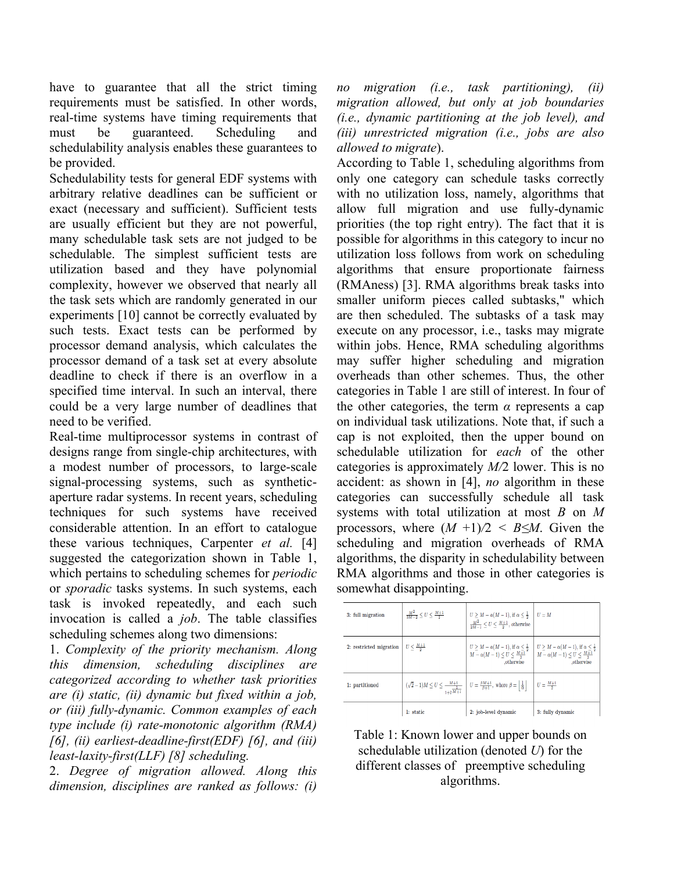have to guarantee that all the strict timing requirements must be satisfied. In other words, real-time systems have timing requirements that must be guaranteed. Scheduling and schedulability analysis enables these guarantees to be provided.

Schedulability tests for general EDF systems with arbitrary relative deadlines can be sufficient or exact (necessary and sufficient). Sufficient tests are usually efficient but they are not powerful, many schedulable task sets are not judged to be schedulable. The simplest sufficient tests are utilization based and they have polynomial complexity, however we observed that nearly all the task sets which are randomly generated in our experiments [10] cannot be correctly evaluated by such tests. Exact tests can be performed by processor demand analysis, which calculates the processor demand of a task set at every absolute deadline to check if there is an overflow in a specified time interval. In such an interval, there could be a very large number of deadlines that need to be verified.

Real-time multiprocessor systems in contrast of designs range from single-chip architectures, with a modest number of processors, to large-scale signal-processing systems, such as syntheticaperture radar systems. In recent years, scheduling techniques for such systems have received considerable attention. In an effort to catalogue these various techniques, Carpenter *et al.* [4] suggested the categorization shown in Table 1, which pertains to scheduling schemes for *periodic*  or *sporadic* tasks systems. In such systems, each task is invoked repeatedly, and each such invocation is called a *job*. The table classifies scheduling schemes along two dimensions:

1. *Complexity of the priority mechanism. Along this dimension, scheduling disciplines are categorized according to whether task priorities are (i) static, (ii) dynamic but fixed within a job, or (iii) fully-dynamic. Common examples of each type include (i) rate-monotonic algorithm (RMA) [6], (ii) earliest-deadline-first(EDF) [6], and (iii) least-laxity-first(LLF) [8] scheduling.* 

2. *Degree of migration allowed. Along this dimension, disciplines are ranked as follows: (i)* 

*no migration (i.e., task partitioning), (ii) migration allowed, but only at job boundaries (i.e., dynamic partitioning at the job level), and (iii) unrestricted migration (i.e., jobs are also allowed to migrate*).

According to Table 1, scheduling algorithms from only one category can schedule tasks correctly with no utilization loss, namely, algorithms that allow full migration and use fully-dynamic priorities (the top right entry). The fact that it is possible for algorithms in this category to incur no utilization loss follows from work on scheduling algorithms that ensure proportionate fairness (RMAness) [3]. RMA algorithms break tasks into smaller uniform pieces called subtasks," which are then scheduled. The subtasks of a task may execute on any processor, i.e., tasks may migrate within jobs. Hence, RMA scheduling algorithms may suffer higher scheduling and migration overheads than other schemes. Thus, the other categories in Table 1 are still of interest. In four of the other categories, the term  $\alpha$  represents a cap on individual task utilizations. Note that, if such a cap is not exploited, then the upper bound on schedulable utilization for *each* of the other categories is approximately *M/*2 lower. This is no accident: as shown in [4], *no* algorithm in these categories can successfully schedule all task systems with total utilization at most *B* on *M*  processors, where  $(M +1)/2 < B \le M$ . Given the scheduling and migration overheads of RMA algorithms, the disparity in schedulability between RMA algorithms and those in other categories is somewhat disappointing.

| 3: full migration       | $\frac{M^2}{2M-2} < U < \frac{M+1}{2}$ | $\left \begin{array}{c} U\geq M-\alpha(M-1), \, \text{if}\ \alpha\leq \frac{1}{2}\\ \frac{M^2}{2M-1}\leq U\leq \frac{M+1}{2}, \, \text{otherwise} \end{array}\right \ \ U=M$                                                         |                  |
|-------------------------|----------------------------------------|--------------------------------------------------------------------------------------------------------------------------------------------------------------------------------------------------------------------------------------|------------------|
| 2: restricted migration | $U < \frac{M+1}{2}$                    | $U \geq M - \alpha(M-1)$ , if $\alpha \leq \frac{1}{2}$ $\Big  U \geq M - \alpha(M-1)$ , if $\alpha \leq \frac{1}{2}$<br>$M - \alpha(M-1) \leq U \leq \frac{M+1}{2}$ $\Big  M - \alpha(M-1) \leq U \leq \frac{M+1}{2}$<br>.otherwise | .otherwise       |
| 1: partitioned          |                                        | $(\sqrt{2}-1)M \leq U \leq \frac{M+1}{\frac{1}{1+2}\frac{M+1}{M+1}} \quad \Big  \ \ U = \tfrac{\beta M+1}{\beta+1}, \ \text{where} \ \beta = \left\lfloor \frac{1}{\alpha} \right\rfloor \quad \Bigg  \ \ U = \tfrac{M+1}{2}$        |                  |
|                         | 1: static                              | 2: job-level dynamic                                                                                                                                                                                                                 | 3: fully dynamic |

Table 1: Known lower and upper bounds on schedulable utilization (denoted *U*) for the different classes of preemptive scheduling algorithms.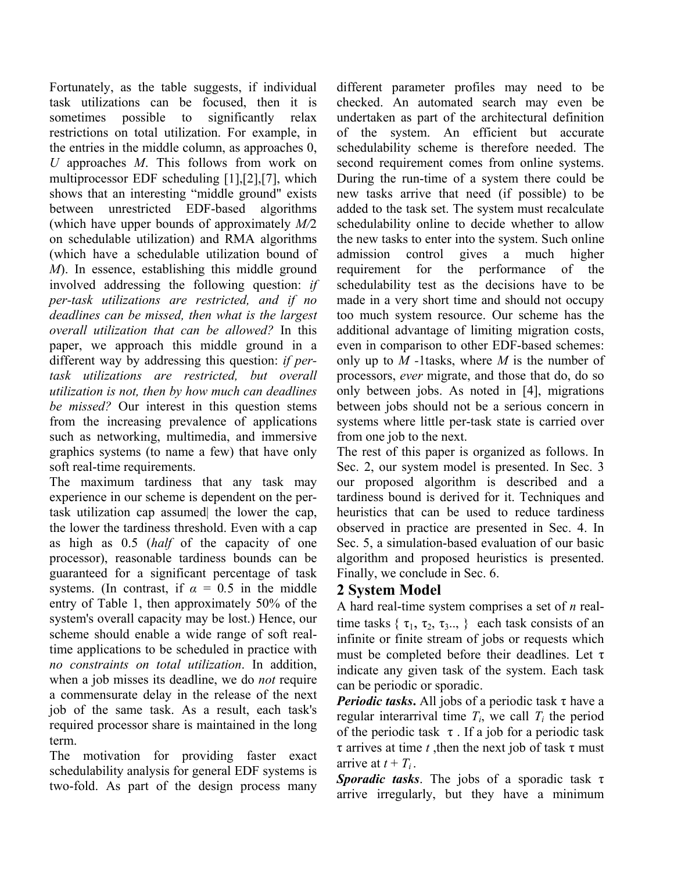Fortunately, as the table suggests, if individual task utilizations can be focused, then it is sometimes possible to significantly relax restrictions on total utilization. For example, in the entries in the middle column, as approaches 0, *U* approaches *M*. This follows from work on multiprocessor EDF scheduling [1],[2],[7], which shows that an interesting "middle ground" exists between unrestricted EDF-based algorithms (which have upper bounds of approximately *M/*2 on schedulable utilization) and RMA algorithms (which have a schedulable utilization bound of *M*). In essence, establishing this middle ground involved addressing the following question: *if per-task utilizations are restricted, and if no deadlines can be missed, then what is the largest overall utilization that can be allowed?* In this paper, we approach this middle ground in a different way by addressing this question: *if pertask utilizations are restricted, but overall utilization is not, then by how much can deadlines be missed?* Our interest in this question stems from the increasing prevalence of applications such as networking, multimedia, and immersive graphics systems (to name a few) that have only soft real-time requirements.

The maximum tardiness that any task may experience in our scheme is dependent on the pertask utilization cap assumed| the lower the cap, the lower the tardiness threshold. Even with a cap as high as 0.5 (*half* of the capacity of one processor), reasonable tardiness bounds can be guaranteed for a significant percentage of task systems. (In contrast, if  $\alpha = 0.5$  in the middle entry of Table 1, then approximately 50% of the system's overall capacity may be lost.) Hence, our scheme should enable a wide range of soft realtime applications to be scheduled in practice with *no constraints on total utilization*. In addition, when a job misses its deadline, we do *not* require a commensurate delay in the release of the next job of the same task. As a result, each task's required processor share is maintained in the long term.

The motivation for providing faster exact schedulability analysis for general EDF systems is two-fold. As part of the design process many different parameter profiles may need to be checked. An automated search may even be undertaken as part of the architectural definition of the system. An efficient but accurate schedulability scheme is therefore needed. The second requirement comes from online systems. During the run-time of a system there could be new tasks arrive that need (if possible) to be added to the task set. The system must recalculate schedulability online to decide whether to allow the new tasks to enter into the system. Such online admission control gives a much higher requirement for the performance of the schedulability test as the decisions have to be made in a very short time and should not occupy too much system resource. Our scheme has the additional advantage of limiting migration costs, even in comparison to other EDF-based schemes: only up to *M -*1tasks, where *M* is the number of processors, *ever* migrate, and those that do, do so only between jobs. As noted in [4], migrations between jobs should not be a serious concern in systems where little per-task state is carried over from one job to the next.

The rest of this paper is organized as follows. In Sec. 2, our system model is presented. In Sec. 3 our proposed algorithm is described and a tardiness bound is derived for it. Techniques and heuristics that can be used to reduce tardiness observed in practice are presented in Sec. 4. In Sec. 5, a simulation-based evaluation of our basic algorithm and proposed heuristics is presented. Finally, we conclude in Sec. 6.

## **2 System Model**

A hard real-time system comprises a set of *n* realtime tasks {  $\tau_1$ ,  $\tau_2$ ,  $\tau_3$ ..., } each task consists of an infinite or finite stream of jobs or requests which must be completed before their deadlines. Let  $\tau$ indicate any given task of the system. Each task can be periodic or sporadic.

*Periodic tasks***.** All jobs of a periodic task τ have a regular interarrival time  $T_i$ , we call  $T_i$  the period of the periodic task  $\tau$ . If a job for a periodic task τ arrives at time *t* ,then the next job of task τ must arrive at  $t + T_i$ .

*Sporadic tasks*. The jobs of a sporadic task τ arrive irregularly, but they have a minimum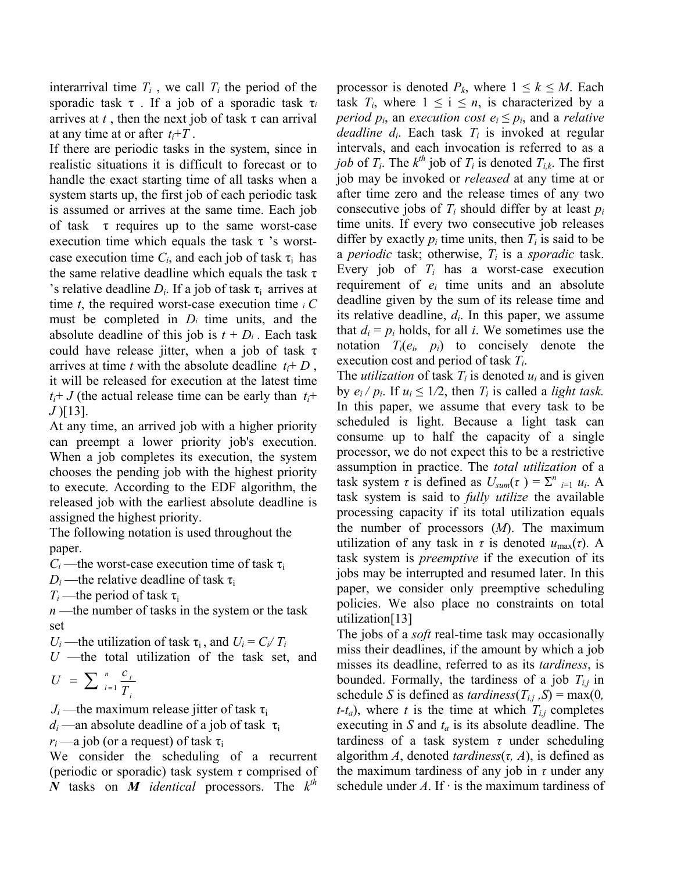interarrival time  $T_i$ , we call  $T_i$  the period of the sporadic task τ . If a job of a sporadic task τ*<sup>i</sup>* arrives at  $t$ , then the next job of task  $\tau$  can arrival at any time at or after *ti*+*T* .

If there are periodic tasks in the system, since in realistic situations it is difficult to forecast or to handle the exact starting time of all tasks when a system starts up, the first job of each periodic task is assumed or arrives at the same time. Each job of task  $\tau$  requires up to the same worst-case execution time which equals the task  $\tau$  's worstcase execution time  $C_i$ , and each job of task  $\tau_i$  has the same relative deadline which equals the task  $\tau$ 's relative deadline  $D_i$ . If a job of task  $\tau_i$  arrives at time *t*, the required worst-case execution time *i C*  must be completed in *Di* time units, and the absolute deadline of this job is  $t + D_i$ . Each task could have release jitter, when a job of task  $\tau$ arrives at time *t* with the absolute deadline  $t_i + D$ , it will be released for execution at the latest time  $t_i$ + *J* (the actual release time can be early than  $t_i$ + *J* )[13].

At any time, an arrived job with a higher priority can preempt a lower priority job's execution. When a job completes its execution, the system chooses the pending job with the highest priority to execute. According to the EDF algorithm, the released job with the earliest absolute deadline is assigned the highest priority.

The following notation is used throughout the paper.

 $C_i$ —the worst-case execution time of task  $\tau_i$ 

 $D_i$ —the relative deadline of task  $\tau_i$ 

*T<sub>i</sub>* —the period of task  $\tau_i$ 

*n* —the number of tasks in the system or the task set

*U<sub>i</sub>* —the utilization of task  $\tau_i$ , and  $U_i = C_i / T_i$ 

 $U$  —the total utilization of the task set, and

$$
U = \sum_{i=1}^{n} \frac{c_i}{T_i}
$$

 $J_i$ —the maximum release jitter of task  $\tau_i$ 

 $d_i$  —an absolute deadline of a job of task  $\tau_i$ 

 $r_i$  —a job (or a request) of task  $\tau_i$ 

We consider the scheduling of a recurrent (periodic or sporadic) task system *τ* comprised of  $\overrightarrow{N}$  tasks on  $\overrightarrow{M}$  *identical* processors. The  $k^{th}$ 

processor is denoted  $P_k$ , where  $1 \leq k \leq M$ . Each task  $T_i$ , where  $1 \le i \le n$ , is characterized by a *period*  $p_i$ *, an execution cost*  $e_i \leq p_i$ *, and a <i>relative deadline di*. Each task *Ti* is invoked at regular intervals, and each invocation is referred to as a *job* of  $T_i$ . The  $k^{th}$  job of  $T_i$  is denoted  $T_{i,k}$ . The first job may be invoked or *released* at any time at or after time zero and the release times of any two consecutive jobs of  $T_i$  should differ by at least  $p_i$ time units. If every two consecutive job releases differ by exactly  $p_i$  time units, then  $T_i$  is said to be a *periodic* task; otherwise, *Ti* is a *sporadic* task. Every job of *Ti* has a worst-case execution requirement of *ei* time units and an absolute deadline given by the sum of its release time and its relative deadline, *di*. In this paper, we assume that  $d_i = p_i$  holds, for all *i*. We sometimes use the notation  $T_i(e_i, p_i)$  to concisely denote the execution cost and period of task *Ti*.

The *utilization* of task  $T_i$  is denoted  $u_i$  and is given by  $e_i / p_i$ . If  $u_i \leq 1/2$ , then  $T_i$  is called a *light task*. In this paper, we assume that every task to be scheduled is light. Because a light task can consume up to half the capacity of a single processor, we do not expect this to be a restrictive assumption in practice. The *total utilization* of a task system  $\tau$  is defined as  $U_{sum}(\tau) = \sum_{i=1}^{n} u_i$ . A task system is said to *fully utilize* the available processing capacity if its total utilization equals the number of processors (*M*). The maximum utilization of any task in  $\tau$  is denoted  $u_{\text{max}}(\tau)$ . A task system is *preemptive* if the execution of its jobs may be interrupted and resumed later. In this paper, we consider only preemptive scheduling policies. We also place no constraints on total utilization[13]

The jobs of a *soft* real-time task may occasionally miss their deadlines, if the amount by which a job misses its deadline, referred to as its *tardiness*, is bounded. Formally, the tardiness of a job  $T_{i,j}$  in schedule *S* is defined as *tardiness*( $T_{i,j}$ ,  $S$ ) = max(0,  $t-t_a$ , where *t* is the time at which  $T_{i,j}$  completes executing in *S* and *ta* is its absolute deadline. The tardiness of a task system *τ* under scheduling algorithm *A*, denoted *tardiness*( $\tau$ , *A*), is defined as the maximum tardiness of any job in *τ* under any schedule under  $A$ . If  $\cdot$  is the maximum tardiness of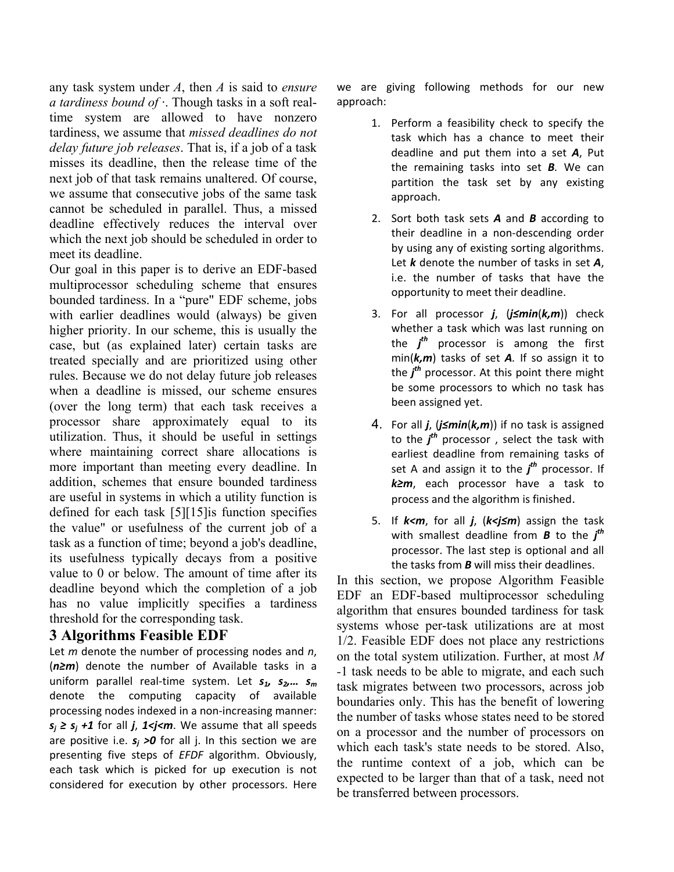any task system under *A*, then *A* is said to *ensure a tardiness bound of ·*. Though tasks in a soft realtime system are allowed to have nonzero tardiness, we assume that *missed deadlines do not delay future job releases*. That is, if a job of a task misses its deadline, then the release time of the next job of that task remains unaltered. Of course, we assume that consecutive jobs of the same task cannot be scheduled in parallel. Thus, a missed deadline effectively reduces the interval over which the next job should be scheduled in order to meet its deadline.

Our goal in this paper is to derive an EDF-based multiprocessor scheduling scheme that ensures bounded tardiness. In a "pure" EDF scheme, jobs with earlier deadlines would (always) be given higher priority. In our scheme, this is usually the case, but (as explained later) certain tasks are treated specially and are prioritized using other rules. Because we do not delay future job releases when a deadline is missed, our scheme ensures (over the long term) that each task receives a processor share approximately equal to its utilization. Thus, it should be useful in settings where maintaining correct share allocations is more important than meeting every deadline. In addition, schemes that ensure bounded tardiness are useful in systems in which a utility function is defined for each task [5][15]is function specifies the value" or usefulness of the current job of a task as a function of time; beyond a job's deadline, its usefulness typically decays from a positive value to 0 or below. The amount of time after its deadline beyond which the completion of a job has no value implicitly specifies a tardiness threshold for the corresponding task.

## **3 Algorithms Feasible EDF**

Let *m* denote the number of processing nodes and *n*, (*n≥m*) denote the number of Available tasks in a uniform parallel real-time system. Let  $s_1$ ,  $s_2$ ,...  $s_m$ denote the computing capacity of available processing nodes indexed in a non‐increasing manner: *sj ≥ sj +1* for all *j*, *1<j<m*. We assume that all speeds are positive i.e.  $s_i > 0$  for all j. In this section we are presenting five steps of *EFDF* algorithm. Obviously, each task which is picked for up execution is not considered for execution by other processors. Here we are giving following methods for our new approach:

- 1. Perform a feasibility check to specify the task which has a chance to meet their deadline and put them into a set *A*, Put the remaining tasks into set *B.* We can partition the task set by any existing approach.
- 2. Sort both task sets *A* and *B* according to their deadline in a non‐descending order by using any of existing sorting algorithms. Let *k* denote the number of tasks in set *A*, i.e. the number of tasks that have the opportunity to meet their deadline.
- 3. For all processor *j*, (*j≤min*(*k,m*)) check whether a task which was last running on the *j th* processor is among the first min(*k,m*) tasks of set *A.* If so assign it to the *jth* processor. At this point there might be some processors to which no task has been assigned yet.
- 4. For all *j*, (*j≤min*(*k,m*)) if no task is assigned to the *j th* processor , select the task with earliest deadline from remaining tasks of set A and assign it to the *jth* processor. If *k≥m*, each processor have a task to process and the algorithm is finished.
- 5. If *k<m*, for all *j*, (*k<j≤m*) assign the task with smallest deadline from *B* to the *j th* processor. The last step is optional and all the tasks from *B* will miss their deadlines.

In this section, we propose Algorithm Feasible EDF an EDF-based multiprocessor scheduling algorithm that ensures bounded tardiness for task systems whose per-task utilizations are at most 1/2. Feasible EDF does not place any restrictions on the total system utilization. Further, at most *M -*1 task needs to be able to migrate, and each such task migrates between two processors, across job boundaries only. This has the benefit of lowering the number of tasks whose states need to be stored on a processor and the number of processors on which each task's state needs to be stored. Also, the runtime context of a job, which can be expected to be larger than that of a task, need not be transferred between processors.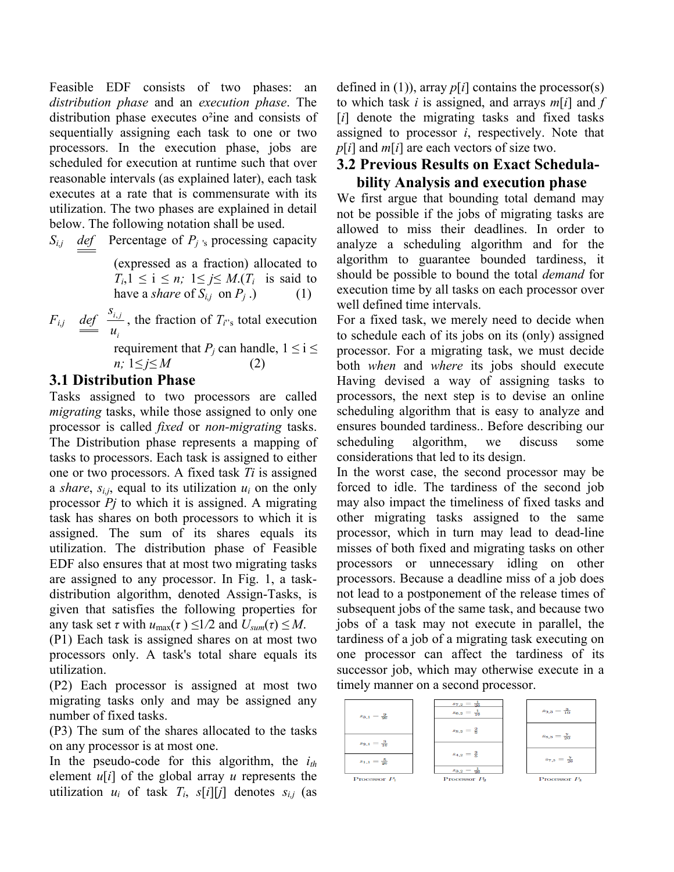Feasible EDF consists of two phases: an *distribution phase* and an *execution phase*. The distribution phase executes o<sup>2</sup>ine and consists of sequentially assigning each task to one or two processors. In the execution phase, jobs are scheduled for execution at runtime such that over reasonable intervals (as explained later), each task executes at a rate that is commensurate with its utilization. The two phases are explained in detail below. The following notation shall be used.

*Si,j def* Percentage of *Pj* 's processing capacity

(expressed as a fraction) allocated to  $T_i, 1 \leq i \leq n$ ;  $1 \leq j \leq M$ . ( $T_i$  is said to have a *share* of  $S_{i,j}$  on  $P_j$ .) (1)

$$
F_{i,j} \quad \underbrace{\text{def}}_{u_i} \quad \underbrace{\text{def}}_{u_i} \quad \underbrace{\text{f}_{i,j}}_{n;\ 1 \leq j \leq M},
$$
 the fraction of  $T_{i^*s}$  total execution  
requirement that  $P_j$  can handle,  $1 \leq i \leq n$ ;  $1 \leq j \leq M$  (2)

### **3.1 Distribution Phase**

Tasks assigned to two processors are called *migrating* tasks, while those assigned to only one processor is called *fixed* or *non-migrating* tasks. The Distribution phase represents a mapping of tasks to processors. Each task is assigned to either one or two processors. A fixed task *Ti* is assigned a *share*,  $s_{i,j}$ , equal to its utilization  $u_i$  on the only processor *Pj* to which it is assigned. A migrating task has shares on both processors to which it is assigned. The sum of its shares equals its utilization. The distribution phase of Feasible EDF also ensures that at most two migrating tasks are assigned to any processor. In Fig. 1, a taskdistribution algorithm, denoted Assign-Tasks, is given that satisfies the following properties for any task set  $\tau$  with  $u_{\text{max}}(\tau) \leq 1/2$  and  $U_{\text{sum}}(\tau) \leq M$ .

(P1) Each task is assigned shares on at most two processors only. A task's total share equals its utilization.

(P2) Each processor is assigned at most two migrating tasks only and may be assigned any number of fixed tasks.

(P3) The sum of the shares allocated to the tasks on any processor is at most one.

In the pseudo-code for this algorithm, the  $i_{th}$ element *u*[*i*] of the global array *u* represents the utilization  $u_i$  of task  $T_i$ ,  $s[i][j]$  denotes  $s_{i,j}$  (as

defined in (1)), array  $p[i]$  contains the processor(s) to which task *i* is assigned, and arrays *m*[*i*] and *f*  [*i*] denote the migrating tasks and fixed tasks assigned to processor *i*, respectively. Note that *p*[*i*] and *m*[*i*] are each vectors of size two.

## **3.2 Previous Results on Exact Schedulability Analysis and execution phase**

We first argue that bounding total demand may not be possible if the jobs of migrating tasks are allowed to miss their deadlines. In order to analyze a scheduling algorithm and for the algorithm to guarantee bounded tardiness, it should be possible to bound the total *demand* for execution time by all tasks on each processor over well defined time intervals.

For a fixed task, we merely need to decide when to schedule each of its jobs on its (only) assigned processor. For a migrating task, we must decide both *when* and *where* its jobs should execute Having devised a way of assigning tasks to processors, the next step is to devise an online scheduling algorithm that is easy to analyze and ensures bounded tardiness.. Before describing our scheduling algorithm, we discuss some considerations that led to its design.

In the worst case, the second processor may be forced to idle. The tardiness of the second job may also impact the timeliness of fixed tasks and other migrating tasks assigned to the same processor, which in turn may lead to dead-line misses of both fixed and migrating tasks on other processors or unnecessary idling on other processors. Because a deadline miss of a job does not lead to a postponement of the release times of subsequent jobs of the same task, and because two jobs of a task may not execute in parallel, the tardiness of a job of a migrating task executing on one processor can affect the tardiness of its successor job, which may otherwise execute in a timely manner on a second processor.

| $s_{3,1}=\frac{9}{20}$   | $s_{7,2} = \frac{1}{20}$<br>$s_{6,2}=\frac{1}{10}$ | $s_{9,3}=\frac{3}{10}$ |
|--------------------------|----------------------------------------------------|------------------------|
| $s_{2,1} = \frac{3}{10}$ | $s_{5,2} = \frac{2}{5}$                            | $s_{8,3}=\frac{7}{20}$ |
| $s_{1,1} = \frac{5}{20}$ | $s_{4,2}=\frac{2}{5}$                              | $s_{7,3}=\frac{7}{20}$ |
| Processor $P_1$          | $s_{3,2} = \frac{1}{20}$<br>Processor $P_2$        | Processor $P_3$        |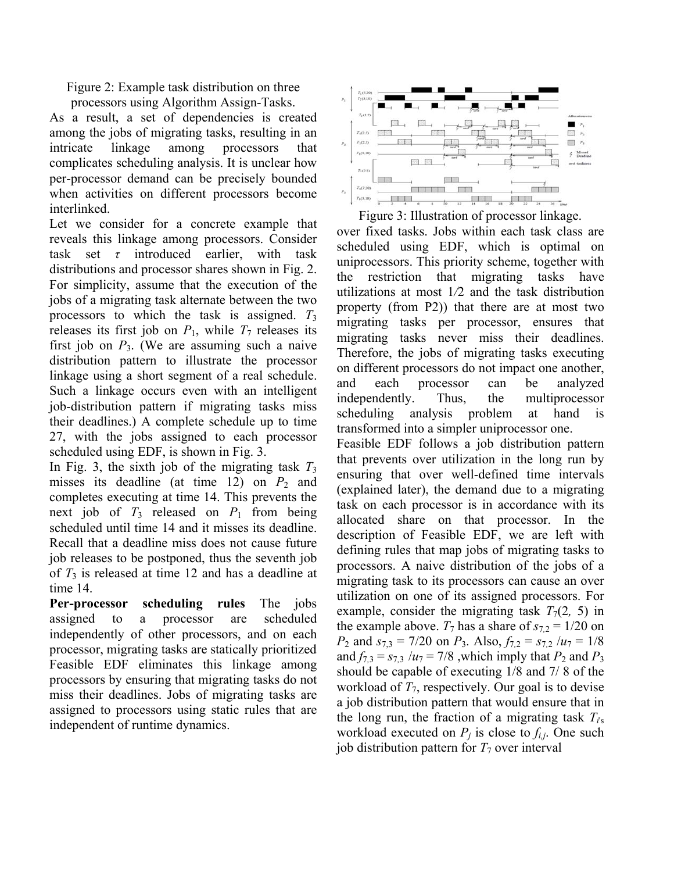Figure 2: Example task distribution on three processors using Algorithm Assign-Tasks.

As a result, a set of dependencies is created among the jobs of migrating tasks, resulting in an intricate linkage among processors that complicates scheduling analysis. It is unclear how per-processor demand can be precisely bounded when activities on different processors become interlinked.

Let we consider for a concrete example that reveals this linkage among processors. Consider task set *τ* introduced earlier, with task distributions and processor shares shown in Fig. 2. For simplicity, assume that the execution of the jobs of a migrating task alternate between the two processors to which the task is assigned.  $T_3$ releases its first job on  $P_1$ , while  $T_7$  releases its first job on  $P_3$ . (We are assuming such a naive distribution pattern to illustrate the processor linkage using a short segment of a real schedule. Such a linkage occurs even with an intelligent job-distribution pattern if migrating tasks miss their deadlines.) A complete schedule up to time 27, with the jobs assigned to each processor scheduled using EDF, is shown in Fig. 3.

In Fig. 3, the sixth job of the migrating task  $T_3$ misses its deadline (at time 12) on  $P_2$  and completes executing at time 14. This prevents the next job of  $T_3$  released on  $P_1$  from being scheduled until time 14 and it misses its deadline. Recall that a deadline miss does not cause future job releases to be postponed, thus the seventh job of *T*3 is released at time 12 and has a deadline at time 14.

**Per-processor scheduling rules** The jobs assigned to a processor are scheduled independently of other processors, and on each processor, migrating tasks are statically prioritized Feasible EDF eliminates this linkage among processors by ensuring that migrating tasks do not miss their deadlines. Jobs of migrating tasks are assigned to processors using static rules that are independent of runtime dynamics.



Figure 3: Illustration of processor linkage. over fixed tasks. Jobs within each task class are scheduled using EDF, which is optimal on uniprocessors. This priority scheme, together with the restriction that migrating tasks have utilizations at most 1*/*2 and the task distribution property (from P2)) that there are at most two migrating tasks per processor, ensures that migrating tasks never miss their deadlines. Therefore, the jobs of migrating tasks executing on different processors do not impact one another, and each processor can be analyzed independently. Thus, the multiprocessor scheduling analysis problem at hand is transformed into a simpler uniprocessor one.

Feasible EDF follows a job distribution pattern that prevents over utilization in the long run by ensuring that over well-defined time intervals (explained later), the demand due to a migrating task on each processor is in accordance with its allocated share on that processor. In the description of Feasible EDF, we are left with defining rules that map jobs of migrating tasks to processors. A naive distribution of the jobs of a migrating task to its processors can cause an over utilization on one of its assigned processors. For example, consider the migrating task  $T_7(2, 5)$  in the example above.  $T_7$  has a share of  $s_{7,2} = 1/20$  on *P*<sub>2</sub> and  $s_{7,3} = 7/20$  on *P*<sub>3</sub>. Also,  $f_{7,2} = s_{7,2} / u_7 = 1/8$ and  $f_{7,3} = s_{7,3}$  / $u_7 = 7/8$ , which imply that  $P_2$  and  $P_3$ should be capable of executing 1/8 and 7/ 8 of the workload of  $T_7$ , respectively. Our goal is to devise a job distribution pattern that would ensure that in the long run, the fraction of a migrating task  $T_{i<sub>s</sub>}$ workload executed on  $P_i$  is close to  $f_{i,j}$ . One such job distribution pattern for  $T_7$  over interval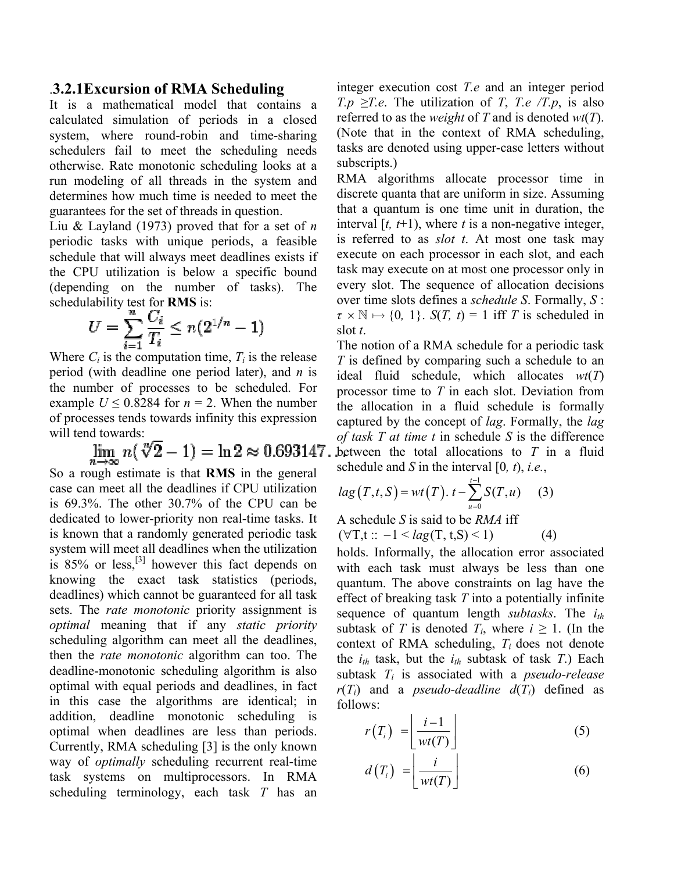### .**3.2.1Excursion of RMA Scheduling**

It is a mathematical model that contains a calculated simulation of periods in a closed system, where round-robin and time-sharing schedulers fail to meet the scheduling needs otherwise. Rate monotonic scheduling looks at a run modeling of all threads in the system and determines how much time is needed to meet the guarantees for the set of threads in question.

Liu & Layland (1973) proved that for a set of *n* periodic tasks with unique periods, a feasible schedule that will always meet deadlines exists if the CPU utilization is below a specific bound (depending on the number of tasks). The schedulability test for **RMS** is:

$$
U = \sum_{i=1}^{n} \frac{C_i}{T_i} \le n(2^{1/n} - 1)
$$

Where  $C_i$  is the computation time,  $T_i$  is the release period (with deadline one period later), and *n* is the number of processes to be scheduled. For example  $U \le 0.8284$  for  $n = 2$ . When the number of processes tends towards infinity this expression will tend towards:

$$
\lim_{n \to \infty} n(\sqrt[n]{2} - 1) = \ln 2 \approx 0.693147
$$

So a rough estimate is that **RMS** in the general case can meet all the deadlines if CPU utilization is 69.3%. The other 30.7% of the CPU can be dedicated to lower-priority non real-time tasks. It is known that a randomly generated periodic task system will meet all deadlines when the utilization is  $85\%$  or less,<sup>[3]</sup> however this fact depends on knowing the exact task statistics (periods, deadlines) which cannot be guaranteed for all task sets. The *rate monotonic* priority assignment is *optimal* meaning that if any *static priority* scheduling algorithm can meet all the deadlines, then the *rate monotonic* algorithm can too. The deadline-monotonic scheduling algorithm is also optimal with equal periods and deadlines, in fact in this case the algorithms are identical; in addition, deadline monotonic scheduling is optimal when deadlines are less than periods. Currently, RMA scheduling [3] is the only known way of *optimally* scheduling recurrent real-time task systems on multiprocessors. In RMA scheduling terminology, each task *T* has an integer execution cost *T.e* and an integer period *T.p*  $\geq$ *T.e.* The utilization of *T*, *T.e /T.p.*, is also referred to as the *weight* of *T* and is denoted *wt*(*T*). (Note that in the context of RMA scheduling, tasks are denoted using upper-case letters without subscripts.)

RMA algorithms allocate processor time in discrete quanta that are uniform in size. Assuming that a quantum is one time unit in duration, the interval  $[t, t+1)$ , where *t* is a non-negative integer, is referred to as *slot t*. At most one task may execute on each processor in each slot, and each task may execute on at most one processor only in every slot. The sequence of allocation decisions over time slots defines a *schedule S*. Formally, *S* :  $\tau \times \mathbb{N} \mapsto \{0, 1\}$ . *S*(*T, t*) = 1 iff *T* is scheduled in slot *t*.

The notion of a RMA schedule for a periodic task *T* is defined by comparing such a schedule to an ideal fluid schedule, which allocates *wt*(*T*) processor time to *T* in each slot. Deviation from the allocation in a fluid schedule is formally captured by the concept of *lag*. Formally, the *lag of task T at time t* in schedule *S* is the difference between the total allocations to *T* in a fluid schedule and *S* in the interval [0*, t*), *i.e.*,

$$
lag(T, t, S) = wt(T) \cdot t - \sum_{u=0}^{t-1} S(T, u)
$$
 (3)

A schedule *S* is said to be *RMA* iff

$$
(\forall T, t :: -1 < lag(T, t, S) < 1)
$$
 (4)

holds. Informally, the allocation error associated with each task must always be less than one quantum. The above constraints on lag have the effect of breaking task *T* into a potentially infinite sequence of quantum length *subtasks*. The *ith*  subtask of *T* is denoted  $T_i$ , where  $i \geq 1$ . (In the context of RMA scheduling, *Ti* does not denote the  $i_{th}$  task, but the  $i_{th}$  subtask of task  $T$ .) Each subtask *Ti* is associated with a *pseudo-release*   $r(T_i)$  and a *pseudo-deadline*  $d(T_i)$  defined as follows:

$$
r(T_i) = \left\lfloor \frac{i-1}{wt(T)} \right\rfloor \tag{5}
$$

$$
d(T_i) = \left\lfloor \frac{i}{wt(T)} \right\rfloor \tag{6}
$$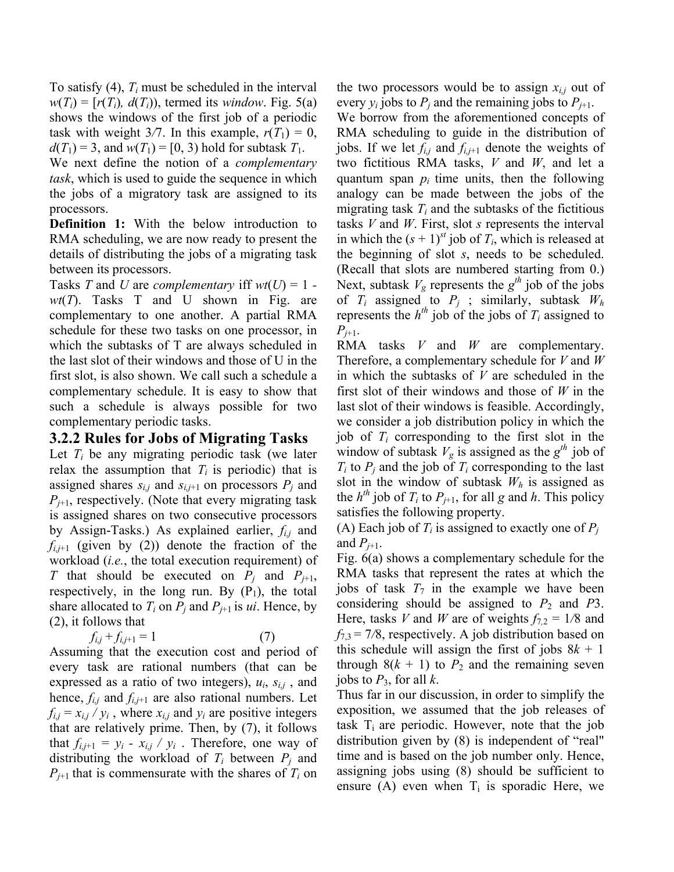To satisfy (4), *Ti* must be scheduled in the interval  $w(T_i) = [r(T_i), d(T_i)]$ , termed its *window*. Fig. 5(a) shows the windows of the first job of a periodic task with weight 3/7. In this example,  $r(T_1) = 0$ ,  $d(T_1) = 3$ , and  $w(T_1) = [0, 3)$  hold for subtask  $T_1$ .

We next define the notion of a *complementary task*, which is used to guide the sequence in which the jobs of a migratory task are assigned to its processors.

**Definition 1:** With the below introduction to RMA scheduling, we are now ready to present the details of distributing the jobs of a migrating task between its processors.

Tasks *T* and *U* are *complementary* iff *wt*(*U*) = 1  *wt*(*T*). Tasks T and U shown in Fig. are complementary to one another. A partial RMA schedule for these two tasks on one processor, in which the subtasks of T are always scheduled in the last slot of their windows and those of U in the first slot, is also shown. We call such a schedule a complementary schedule. It is easy to show that such a schedule is always possible for two complementary periodic tasks.

## **3.2.2 Rules for Jobs of Migrating Tasks**

Let  $T_i$  be any migrating periodic task (we later relax the assumption that  $T_i$  is periodic) that is assigned shares  $s_{i,j}$  and  $s_{i,j+1}$  on processors  $P_j$  and *Pj*+1, respectively. (Note that every migrating task is assigned shares on two consecutive processors by Assign-Tasks.) As explained earlier, *fi,j* and  $f_{i,i+1}$  (given by (2)) denote the fraction of the workload (*i.e.*, the total execution requirement) of *T* that should be executed on  $P_i$  and  $P_{i+1}$ , respectively, in the long run. By  $(P_1)$ , the total share allocated to  $T_i$  on  $P_j$  and  $P_{j+1}$  is *ui*. Hence, by (2), it follows that

$$
f_{i,j} + f_{i,j+1} = 1 \tag{7}
$$

Assuming that the execution cost and period of every task are rational numbers (that can be expressed as a ratio of two integers),  $u_i$ ,  $s_{i,j}$ , and hence,  $f_{i,j}$  and  $f_{i,j+1}$  are also rational numbers. Let  $f_{i,j} = x_{i,j} / y_i$ , where  $x_{i,j}$  and  $y_i$  are positive integers that are relatively prime. Then, by (7), it follows that  $f_{i,j+1} = y_i - x_{i,j} / y_i$ . Therefore, one way of distributing the workload of  $T_i$  between  $P_i$  and  $P_{j+1}$  that is commensurate with the shares of  $T_i$  on

the two processors would be to assign  $x_{i,j}$  out of every  $y_i$  jobs to  $P_i$  and the remaining jobs to  $P_{i+1}$ .

We borrow from the aforementioned concepts of RMA scheduling to guide in the distribution of jobs. If we let *fi,j* and *fi,j*+1 denote the weights of two fictitious RMA tasks, *V* and *W*, and let a quantum span  $p_i$  time units, then the following analogy can be made between the jobs of the migrating task  $T_i$  and the subtasks of the fictitious tasks *V* and *W*. First, slot *s* represents the interval in which the  $(s + 1)^{st}$  job of  $T_i$ , which is released at the beginning of slot *s*, needs to be scheduled. (Recall that slots are numbered starting from 0.) Next, subtask  $V_g$  represents the  $g^{th}$  job of the jobs of  $T_i$  assigned to  $P_j$ ; similarly, subtask  $W_h$ represents the  $h^{th}$  job of the jobs of  $T_i$  assigned to  $P_{j+1}$ .

RMA tasks *V* and *W* are complementary. Therefore, a complementary schedule for *V* and *W*  in which the subtasks of *V* are scheduled in the first slot of their windows and those of *W* in the last slot of their windows is feasible. Accordingly, we consider a job distribution policy in which the job of *Ti* corresponding to the first slot in the window of subtask  $V_g$  is assigned as the  $g^{th}$  job of  $T_i$  to  $P_i$  and the job of  $T_i$  corresponding to the last slot in the window of subtask  $W_h$  is assigned as the  $h^{th}$  job of  $T_i$  to  $P_{i+1}$ , for all *g* and *h*. This policy satisfies the following property.

(A) Each job of  $T_i$  is assigned to exactly one of  $P_i$ and  $P_{j+1}$ .

Fig. 6(a) shows a complementary schedule for the RMA tasks that represent the rates at which the jobs of task  $T_7$  in the example we have been considering should be assigned to *P*2 and *P*3. Here, tasks *V* and *W* are of weights  $f_{7,2} = 1/8$  and  $f_{7,3} = 7/8$ , respectively. A job distribution based on this schedule will assign the first of jobs  $8k + 1$ through  $8(k + 1)$  to  $P_2$  and the remaining seven jobs to  $P_3$ , for all  $k$ .

Thus far in our discussion, in order to simplify the exposition, we assumed that the job releases of task  $T_i$  are periodic. However, note that the job distribution given by (8) is independent of "real" time and is based on the job number only. Hence, assigning jobs using (8) should be sufficient to ensure (A) even when  $T_i$  is sporadic Here, we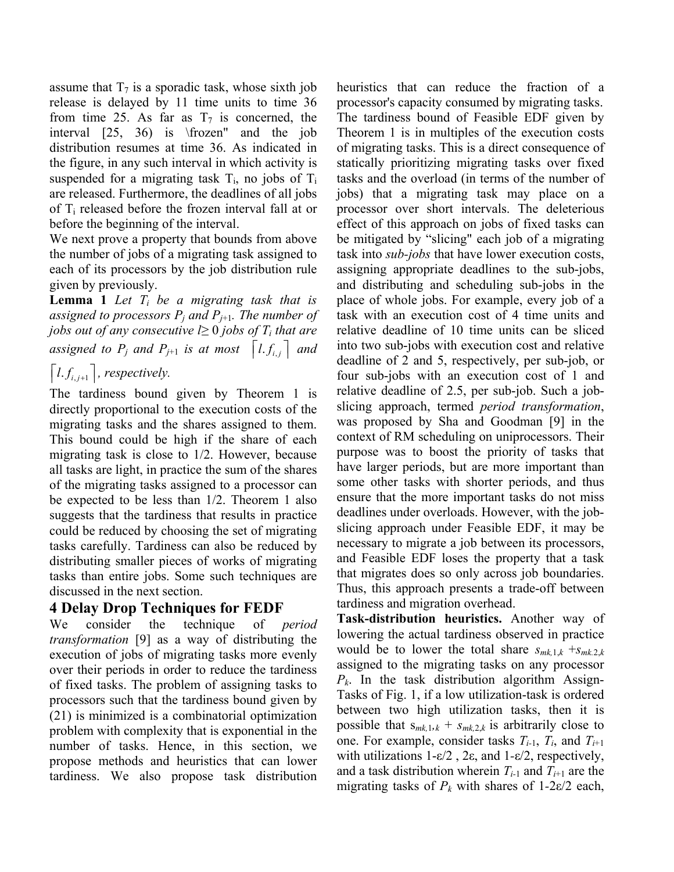assume that  $T_7$  is a sporadic task, whose sixth job release is delayed by 11 time units to time 36 from time 25. As far as  $T_7$  is concerned, the interval [25, 36) is \frozen" and the job distribution resumes at time 36. As indicated in the figure, in any such interval in which activity is suspended for a migrating task  $T_i$ , no jobs of  $T_i$ are released. Furthermore, the deadlines of all jobs of  $T_i$  released before the frozen interval fall at or before the beginning of the interval.

We next prove a property that bounds from above the number of jobs of a migrating task assigned to each of its processors by the job distribution rule given by previously.

**Lemma 1** *Let Ti be a migrating task that is assigned to processors*  $P_i$  *and*  $P_{j+1}$ *. The number of jobs out of any consecutive l* $\geq$  0 *jobs of T<sub>i</sub> that are* assigned to  $P_j$  and  $P_{j+1}$  is at most  $\left[ l.f_{i,j} \right]$  and

# $\left[ l.f_{i,j+1} \right]$ , respectively.

The tardiness bound given by Theorem 1 is directly proportional to the execution costs of the migrating tasks and the shares assigned to them. This bound could be high if the share of each migrating task is close to 1/2. However, because all tasks are light, in practice the sum of the shares of the migrating tasks assigned to a processor can be expected to be less than 1/2. Theorem 1 also suggests that the tardiness that results in practice could be reduced by choosing the set of migrating tasks carefully. Tardiness can also be reduced by distributing smaller pieces of works of migrating tasks than entire jobs. Some such techniques are discussed in the next section.

## **4 Delay Drop Techniques for FEDF**

We consider the technique of *period transformation* [9] as a way of distributing the execution of jobs of migrating tasks more evenly over their periods in order to reduce the tardiness of fixed tasks. The problem of assigning tasks to processors such that the tardiness bound given by (21) is minimized is a combinatorial optimization problem with complexity that is exponential in the number of tasks. Hence, in this section, we propose methods and heuristics that can lower tardiness. We also propose task distribution

heuristics that can reduce the fraction of a processor's capacity consumed by migrating tasks. The tardiness bound of Feasible EDF given by Theorem 1 is in multiples of the execution costs of migrating tasks. This is a direct consequence of statically prioritizing migrating tasks over fixed tasks and the overload (in terms of the number of jobs) that a migrating task may place on a processor over short intervals. The deleterious effect of this approach on jobs of fixed tasks can be mitigated by "slicing" each job of a migrating task into *sub-jobs* that have lower execution costs, assigning appropriate deadlines to the sub-jobs, and distributing and scheduling sub-jobs in the place of whole jobs. For example, every job of a task with an execution cost of 4 time units and relative deadline of 10 time units can be sliced into two sub-jobs with execution cost and relative deadline of 2 and 5, respectively, per sub-job, or four sub-jobs with an execution cost of 1 and relative deadline of 2.5, per sub-job. Such a jobslicing approach, termed *period transformation*, was proposed by Sha and Goodman [9] in the context of RM scheduling on uniprocessors. Their purpose was to boost the priority of tasks that have larger periods, but are more important than some other tasks with shorter periods, and thus ensure that the more important tasks do not miss deadlines under overloads. However, with the jobslicing approach under Feasible EDF, it may be necessary to migrate a job between its processors, and Feasible EDF loses the property that a task that migrates does so only across job boundaries. Thus, this approach presents a trade-off between tardiness and migration overhead.

**Task-distribution heuristics.** Another way of lowering the actual tardiness observed in practice would be to lower the total share  $s_{mk,1,k}$  + $s_{mk,2,k}$ assigned to the migrating tasks on any processor *Pk*. In the task distribution algorithm Assign-Tasks of Fig. 1, if a low utilization-task is ordered between two high utilization tasks, then it is possible that  $s_{mk,1,k} + s_{mk,2,k}$  is arbitrarily close to one. For example, consider tasks  $T_{i-1}$ ,  $T_i$ , and  $T_{i+1}$ with utilizations 1-ε/2 , 2ε, and 1*-*ε/2, respectively, and a task distribution wherein  $T_{i-1}$  and  $T_{i+1}$  are the migrating tasks of  $P_k$  with shares of 1-2 $\varepsilon/2$  each,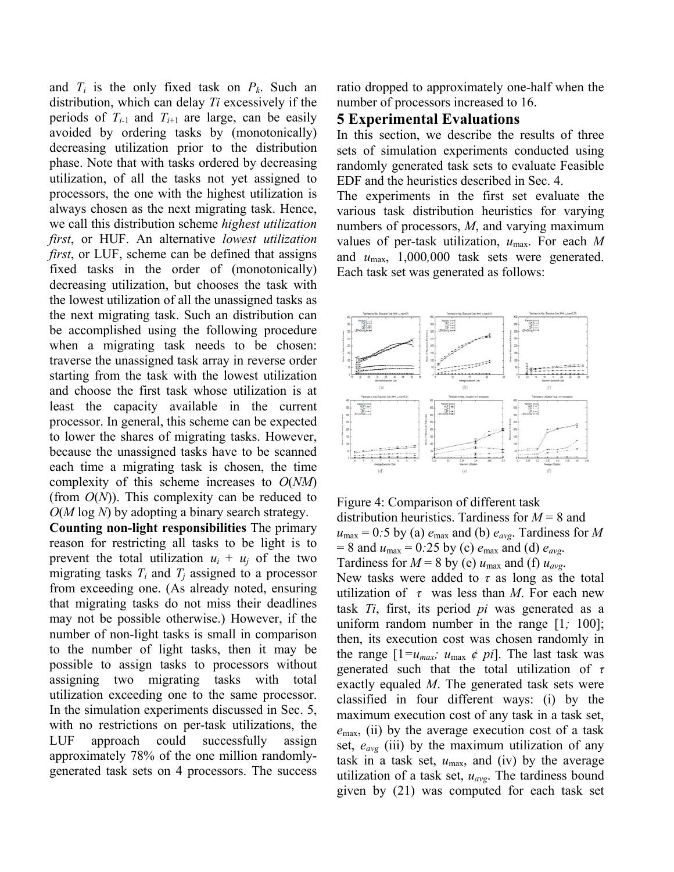and  $T_i$  is the only fixed task on  $P_k$ . Such an distribution, which can delay *Ti* excessively if the periods of  $T_{i-1}$  and  $T_{i+1}$  are large, can be easily avoided by ordering tasks by (monotonically) decreasing utilization prior to the distribution phase. Note that with tasks ordered by decreasing utilization, of all the tasks not yet assigned to processors, the one with the highest utilization is always chosen as the next migrating task. Hence, we call this distribution scheme *highest utilization first*, or HUF. An alternative *lowest utilization first*, or LUF, scheme can be defined that assigns fixed tasks in the order of (monotonically) decreasing utilization, but chooses the task with the lowest utilization of all the unassigned tasks as the next migrating task. Such an distribution can be accomplished using the following procedure when a migrating task needs to be chosen: traverse the unassigned task array in reverse order starting from the task with the lowest utilization and choose the first task whose utilization is at least the capacity available in the current processor. In general, this scheme can be expected to lower the shares of migrating tasks. However, because the unassigned tasks have to be scanned each time a migrating task is chosen, the time complexity of this scheme increases to *O*(*NM*) (from  $O(N)$ ). This complexity can be reduced to *O*(*M* log *N*) by adopting a binary search strategy.

**Counting non-light responsibilities** The primary reason for restricting all tasks to be light is to prevent the total utilization  $u_i + u_j$  of the two migrating tasks  $T_i$  and  $T_j$  assigned to a processor from exceeding one. (As already noted, ensuring that migrating tasks do not miss their deadlines may not be possible otherwise.) However, if the number of non-light tasks is small in comparison to the number of light tasks, then it may be possible to assign tasks to processors without assigning two migrating tasks with total utilization exceeding one to the same processor. In the simulation experiments discussed in Sec. 5, with no restrictions on per-task utilizations, the LUF approach could successfully assign approximately 78% of the one million randomlygenerated task sets on 4 processors. The success ratio dropped to approximately one-half when the number of processors increased to 16.

#### **5 Experimental Evaluations**

In this section, we describe the results of three sets of simulation experiments conducted using randomly generated task sets to evaluate Feasible EDF and the heuristics described in Sec. 4.

The experiments in the first set evaluate the various task distribution heuristics for varying numbers of processors, *M*, and varying maximum values of per-task utilization, *u*max. For each *M*  and *u*max, 1,000*,*000 task sets were generated. Each task set was generated as follows:



Figure 4: Comparison of different task distribution heuristics. Tardiness for  $M = 8$  and  $u_{\text{max}} = 0.5$  by (a)  $e_{\text{max}}$  and (b)  $e_{\text{avg}}$ . Tardiness for *M*  $= 8$  and  $u_{\text{max}} = 0.25$  by (c)  $e_{\text{max}}$  and (d)  $e_{\text{avg}}$ . Tardiness for  $M = 8$  by (e)  $u_{\text{max}}$  and (f)  $u_{\text{avg}}$ .

New tasks were added to *τ* as long as the total utilization of *τ* was less than *M*. For each new task *Ti*, first, its period *pi* was generated as a uniform random number in the range [1*;* 100]; then, its execution cost was chosen randomly in the range  $[1 = u_{max}; u_{max} \notin pi]$ . The last task was generated such that the total utilization of *τ* exactly equaled *M*. The generated task sets were classified in four different ways: (i) by the maximum execution cost of any task in a task set, *e*max, (ii) by the average execution cost of a task set, *eavg* (iii) by the maximum utilization of any task in a task set,  $u_{\text{max}}$ , and (iv) by the average utilization of a task set, *uavg*. The tardiness bound given by (21) was computed for each task set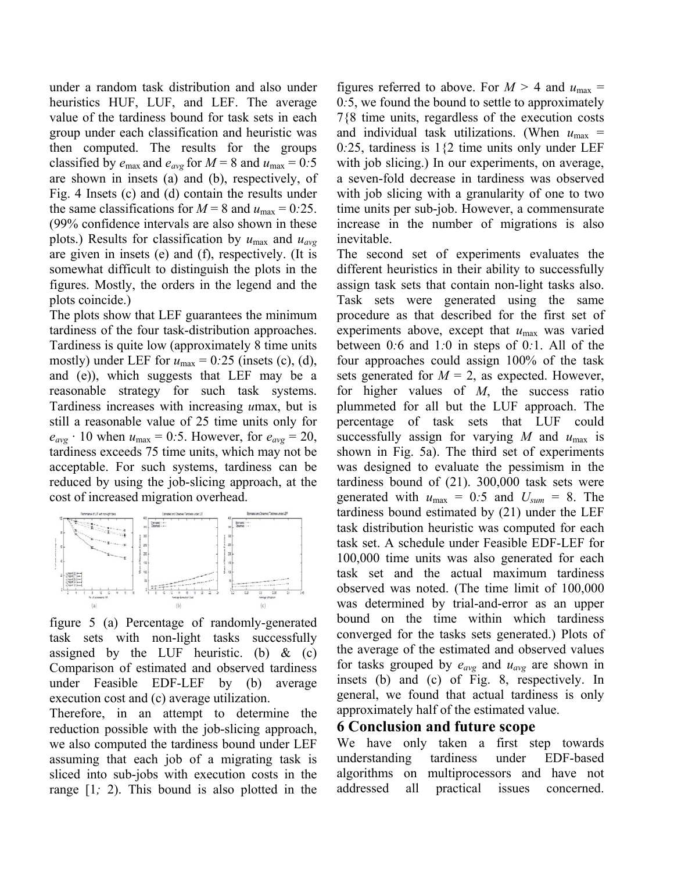under a random task distribution and also under heuristics HUF, LUF, and LEF. The average value of the tardiness bound for task sets in each group under each classification and heuristic was then computed. The results for the groups classified by  $e_{\text{max}}$  and  $e_{\text{avg}}$  for  $M = 8$  and  $u_{\text{max}} = 0.5$ are shown in insets (a) and (b), respectively, of Fig. 4 Insets (c) and (d) contain the results under the same classifications for  $M = 8$  and  $u_{\text{max}} = 0.25$ . (99% confidence intervals are also shown in these plots.) Results for classification by *u*max and *uavg* are given in insets (e) and (f), respectively. (It is somewhat difficult to distinguish the plots in the figures. Mostly, the orders in the legend and the plots coincide.)

The plots show that LEF guarantees the minimum tardiness of the four task-distribution approaches. Tardiness is quite low (approximately 8 time units mostly) under LEF for  $u_{\text{max}} = 0.25$  (insets (c), (d), and (e)), which suggests that LEF may be a reasonable strategy for such task systems. Tardiness increases with increasing *u*max, but is still a reasonable value of 25 time units only for  $e_{avg} \cdot 10$  when  $u_{max} = 0.5$ . However, for  $e_{avg} = 20$ , tardiness exceeds 75 time units, which may not be acceptable. For such systems, tardiness can be reduced by using the job-slicing approach, at the cost of increased migration overhead.



figure 5 (a) Percentage of randomly-generated task sets with non-light tasks successfully assigned by the LUF heuristic. (b)  $\&$  (c) Comparison of estimated and observed tardiness under Feasible EDF-LEF by (b) average execution cost and (c) average utilization.

Therefore, in an attempt to determine the reduction possible with the job-slicing approach, we also computed the tardiness bound under LEF assuming that each job of a migrating task is sliced into sub-jobs with execution costs in the range [1*;* 2). This bound is also plotted in the

figures referred to above. For  $M > 4$  and  $u_{\text{max}} =$ 0*:*5, we found the bound to settle to approximately 7{8 time units, regardless of the execution costs and individual task utilizations. (When  $u_{\text{max}} =$ 0*:*25, tardiness is 1{2 time units only under LEF with job slicing.) In our experiments, on average, a seven-fold decrease in tardiness was observed with job slicing with a granularity of one to two time units per sub-job. However, a commensurate increase in the number of migrations is also inevitable.

The second set of experiments evaluates the different heuristics in their ability to successfully assign task sets that contain non-light tasks also. Task sets were generated using the same procedure as that described for the first set of experiments above, except that *u*max was varied between 0*:*6 and 1*:*0 in steps of 0*:*1. All of the four approaches could assign 100% of the task sets generated for  $M = 2$ , as expected. However, for higher values of *M*, the success ratio plummeted for all but the LUF approach. The percentage of task sets that LUF could successfully assign for varying  $M$  and  $u_{\text{max}}$  is shown in Fig. 5a). The third set of experiments was designed to evaluate the pessimism in the tardiness bound of (21). 300,000 task sets were generated with  $u_{\text{max}} = 0.5$  and  $U_{\text{sum}} = 8$ . The tardiness bound estimated by (21) under the LEF task distribution heuristic was computed for each task set. A schedule under Feasible EDF-LEF for 100,000 time units was also generated for each task set and the actual maximum tardiness observed was noted. (The time limit of 100,000 was determined by trial-and-error as an upper bound on the time within which tardiness converged for the tasks sets generated.) Plots of the average of the estimated and observed values for tasks grouped by *eavg* and *uavg* are shown in insets (b) and (c) of Fig. 8, respectively. In general, we found that actual tardiness is only approximately half of the estimated value.

#### **6 Conclusion and future scope**

We have only taken a first step towards understanding tardiness under EDF-based algorithms on multiprocessors and have not addressed all practical issues concerned.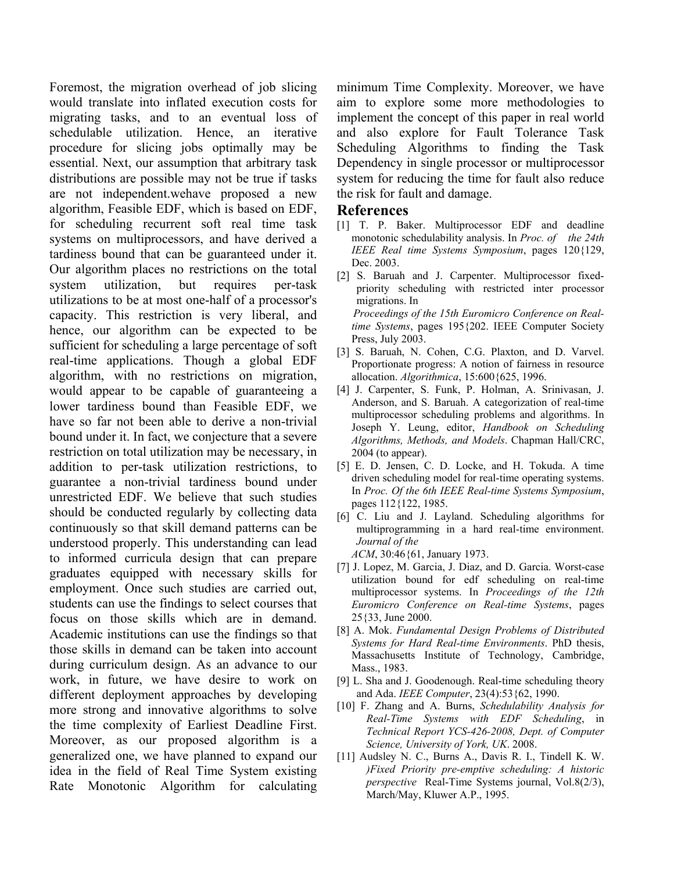Foremost, the migration overhead of job slicing would translate into inflated execution costs for migrating tasks, and to an eventual loss of schedulable utilization. Hence, an iterative procedure for slicing jobs optimally may be essential. Next, our assumption that arbitrary task distributions are possible may not be true if tasks are not independent.wehave proposed a new algorithm, Feasible EDF, which is based on EDF, for scheduling recurrent soft real time task systems on multiprocessors, and have derived a tardiness bound that can be guaranteed under it. Our algorithm places no restrictions on the total system utilization, but requires per-task utilizations to be at most one-half of a processor's capacity. This restriction is very liberal, and hence, our algorithm can be expected to be sufficient for scheduling a large percentage of soft real-time applications. Though a global EDF algorithm, with no restrictions on migration, would appear to be capable of guaranteeing a lower tardiness bound than Feasible EDF, we have so far not been able to derive a non-trivial bound under it. In fact, we conjecture that a severe restriction on total utilization may be necessary, in addition to per-task utilization restrictions, to guarantee a non-trivial tardiness bound under unrestricted EDF. We believe that such studies should be conducted regularly by collecting data continuously so that skill demand patterns can be understood properly. This understanding can lead to informed curricula design that can prepare graduates equipped with necessary skills for employment. Once such studies are carried out, students can use the findings to select courses that focus on those skills which are in demand. Academic institutions can use the findings so that those skills in demand can be taken into account during curriculum design. As an advance to our work, in future, we have desire to work on different deployment approaches by developing more strong and innovative algorithms to solve the time complexity of Earliest Deadline First. Moreover, as our proposed algorithm is a generalized one, we have planned to expand our idea in the field of Real Time System existing Rate Monotonic Algorithm for calculating minimum Time Complexity. Moreover, we have aim to explore some more methodologies to implement the concept of this paper in real world and also explore for Fault Tolerance Task Scheduling Algorithms to finding the Task Dependency in single processor or multiprocessor system for reducing the time for fault also reduce the risk for fault and damage.

#### **References**

- [1] T. P. Baker. Multiprocessor EDF and deadline monotonic schedulability analysis. In *Proc. of the 24th IEEE Real time Systems Symposium*, pages 120{129, Dec. 2003.
- [2] S. Baruah and J. Carpenter. Multiprocessor fixedpriority scheduling with restricted inter processor migrations. In  *Proceedings of the 15th Euromicro Conference on Realtime Systems*, pages 195{202. IEEE Computer Society Press, July 2003.
- [3] S. Baruah, N. Cohen, C.G. Plaxton, and D. Varvel. Proportionate progress: A notion of fairness in resource allocation. *Algorithmica*, 15:600{625, 1996.
- [4] J. Carpenter, S. Funk, P. Holman, A. Srinivasan, J. Anderson, and S. Baruah. A categorization of real-time multiprocessor scheduling problems and algorithms. In Joseph Y. Leung, editor, *Handbook on Scheduling Algorithms, Methods, and Models*. Chapman Hall/CRC, 2004 (to appear).
- [5] E. D. Jensen, C. D. Locke, and H. Tokuda. A time driven scheduling model for real-time operating systems. In *Proc. Of the 6th IEEE Real-time Systems Symposium*, pages 112{122, 1985.
- [6] C. Liu and J. Layland. Scheduling algorithms for multiprogramming in a hard real-time environment. *Journal of the*

*ACM*, 30:46{61, January 1973.

- [7] J. Lopez, M. Garcia, J. Diaz, and D. Garcia. Worst-case utilization bound for edf scheduling on real-time multiprocessor systems. In *Proceedings of the 12th Euromicro Conference on Real-time Systems*, pages 25{33, June 2000.
- [8] A. Mok. *Fundamental Design Problems of Distributed Systems for Hard Real-time Environments*. PhD thesis, Massachusetts Institute of Technology, Cambridge, Mass., 1983.
- [9] L. Sha and J. Goodenough. Real-time scheduling theory and Ada. *IEEE Computer*, 23(4):53{62, 1990.
- [10] F. Zhang and A. Burns, *Schedulability Analysis for Real-Time Systems with EDF Scheduling*, in *Technical Report YCS-426-2008, Dept. of Computer Science, University of York, UK*. 2008.
- [11] Audsley N. C., Burns A., Davis R. I., Tindell K. W. *)Fixed Priority pre-emptive scheduling: A historic perspective* Real-Time Systems journal, Vol.8(2/3), March/May, Kluwer A.P., 1995.